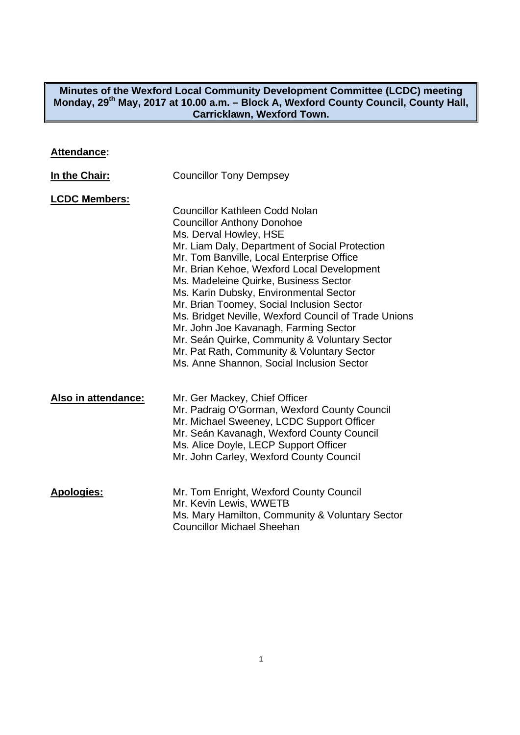#### **Minutes of the Wexford Local Community Development Committee (LCDC) meeting**  Monday, 29<sup>th</sup> May, 2017 at 10.00 a.m. - Block A, Wexford County Council, County Hall, **Carricklawn, Wexford Town.**

# **Attendance:**

| In the Chair:        | <b>Councillor Tony Dempsey</b>                                                                                                                                                                                                                                                                                                                                                                                                                                                                                                                                                                                                 |
|----------------------|--------------------------------------------------------------------------------------------------------------------------------------------------------------------------------------------------------------------------------------------------------------------------------------------------------------------------------------------------------------------------------------------------------------------------------------------------------------------------------------------------------------------------------------------------------------------------------------------------------------------------------|
| <b>LCDC Members:</b> | <b>Councillor Kathleen Codd Nolan</b><br><b>Councillor Anthony Donohoe</b><br>Ms. Derval Howley, HSE<br>Mr. Liam Daly, Department of Social Protection<br>Mr. Tom Banville, Local Enterprise Office<br>Mr. Brian Kehoe, Wexford Local Development<br>Ms. Madeleine Quirke, Business Sector<br>Ms. Karin Dubsky, Environmental Sector<br>Mr. Brian Toomey, Social Inclusion Sector<br>Ms. Bridget Neville, Wexford Council of Trade Unions<br>Mr. John Joe Kavanagh, Farming Sector<br>Mr. Seán Quirke, Community & Voluntary Sector<br>Mr. Pat Rath, Community & Voluntary Sector<br>Ms. Anne Shannon, Social Inclusion Sector |
| Also in attendance:  | Mr. Ger Mackey, Chief Officer<br>Mr. Padraig O'Gorman, Wexford County Council<br>Mr. Michael Sweeney, LCDC Support Officer<br>Mr. Seán Kavanagh, Wexford County Council<br>Ms. Alice Doyle, LECP Support Officer<br>Mr. John Carley, Wexford County Council                                                                                                                                                                                                                                                                                                                                                                    |
| <b>Apologies:</b>    | Mr. Tom Enright, Wexford County Council<br>Mr. Kevin Lewis, WWETB<br>Ms. Mary Hamilton, Community & Voluntary Sector<br><b>Councillor Michael Sheehan</b>                                                                                                                                                                                                                                                                                                                                                                                                                                                                      |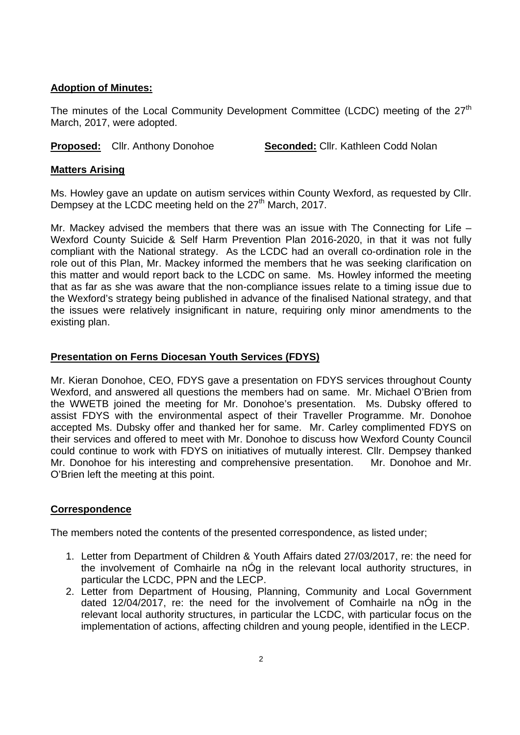## **Adoption of Minutes:**

The minutes of the Local Community Development Committee (LCDC) meeting of the 27<sup>th</sup> March, 2017, were adopted.

**Proposed:** Cllr. Anthony Donohoe **Seconded:** Cllr. Kathleen Codd Nolan

## **Matters Arising**

Ms. Howley gave an update on autism services within County Wexford, as requested by Cllr. Dempsey at the LCDC meeting held on the 27<sup>th</sup> March, 2017.

Mr. Mackey advised the members that there was an issue with The Connecting for Life – Wexford County Suicide & Self Harm Prevention Plan 2016-2020, in that it was not fully compliant with the National strategy. As the LCDC had an overall co-ordination role in the role out of this Plan, Mr. Mackey informed the members that he was seeking clarification on this matter and would report back to the LCDC on same. Ms. Howley informed the meeting that as far as she was aware that the non-compliance issues relate to a timing issue due to the Wexford's strategy being published in advance of the finalised National strategy, and that the issues were relatively insignificant in nature, requiring only minor amendments to the existing plan.

# **Presentation on Ferns Diocesan Youth Services (FDYS)**

Mr. Kieran Donohoe, CEO, FDYS gave a presentation on FDYS services throughout County Wexford, and answered all questions the members had on same. Mr. Michael O'Brien from the WWETB joined the meeting for Mr. Donohoe's presentation. Ms. Dubsky offered to assist FDYS with the environmental aspect of their Traveller Programme. Mr. Donohoe accepted Ms. Dubsky offer and thanked her for same. Mr. Carley complimented FDYS on their services and offered to meet with Mr. Donohoe to discuss how Wexford County Council could continue to work with FDYS on initiatives of mutually interest. Cllr. Dempsey thanked Mr. Donohoe for his interesting and comprehensive presentation. Mr. Donohoe and Mr. O'Brien left the meeting at this point.

# **Correspondence**

The members noted the contents of the presented correspondence, as listed under;

- 1. Letter from Department of Children & Youth Affairs dated 27/03/2017, re: the need for the involvement of Comhairle na nÓg in the relevant local authority structures, in particular the LCDC, PPN and the LECP.
- 2. Letter from Department of Housing, Planning, Community and Local Government dated 12/04/2017, re: the need for the involvement of Comhairle na nÓg in the relevant local authority structures, in particular the LCDC, with particular focus on the implementation of actions, affecting children and young people, identified in the LECP.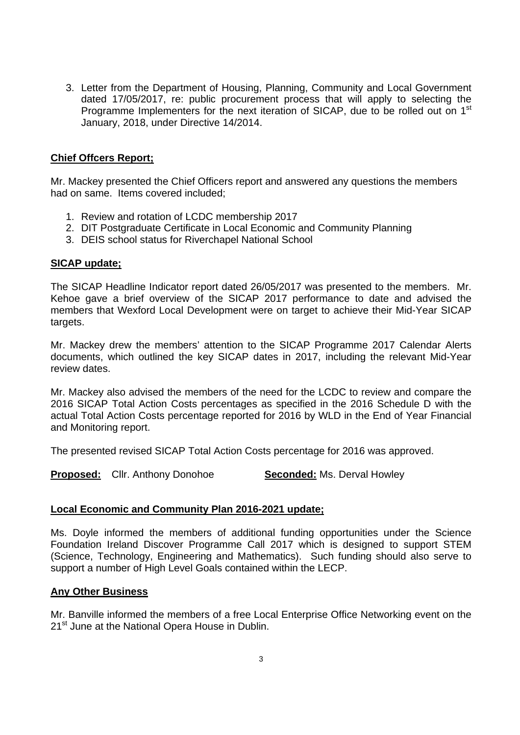3. Letter from the Department of Housing, Planning, Community and Local Government dated 17/05/2017, re: public procurement process that will apply to selecting the Programme Implementers for the next iteration of SICAP, due to be rolled out on 1<sup>st</sup> January, 2018, under Directive 14/2014.

## **Chief Offcers Report;**

Mr. Mackey presented the Chief Officers report and answered any questions the members had on same. Items covered included;

- 1. Review and rotation of LCDC membership 2017
- 2. DIT Postgraduate Certificate in Local Economic and Community Planning
- 3. DEIS school status for Riverchapel National School

## **SICAP update;**

The SICAP Headline Indicator report dated 26/05/2017 was presented to the members. Mr. Kehoe gave a brief overview of the SICAP 2017 performance to date and advised the members that Wexford Local Development were on target to achieve their Mid-Year SICAP targets.

Mr. Mackey drew the members' attention to the SICAP Programme 2017 Calendar Alerts documents, which outlined the key SICAP dates in 2017, including the relevant Mid-Year review dates.

Mr. Mackey also advised the members of the need for the LCDC to review and compare the 2016 SICAP Total Action Costs percentages as specified in the 2016 Schedule D with the actual Total Action Costs percentage reported for 2016 by WLD in the End of Year Financial and Monitoring report.

The presented revised SICAP Total Action Costs percentage for 2016 was approved.

**Proposed:** Cllr. Anthony Donohoe **Seconded:** Ms. Derval Howley

## **Local Economic and Community Plan 2016-2021 update;**

Ms. Doyle informed the members of additional funding opportunities under the Science Foundation Ireland Discover Programme Call 2017 which is designed to support STEM (Science, Technology, Engineering and Mathematics). Such funding should also serve to support a number of High Level Goals contained within the LECP.

## **Any Other Business**

Mr. Banville informed the members of a free Local Enterprise Office Networking event on the 21<sup>st</sup> June at the National Opera House in Dublin.